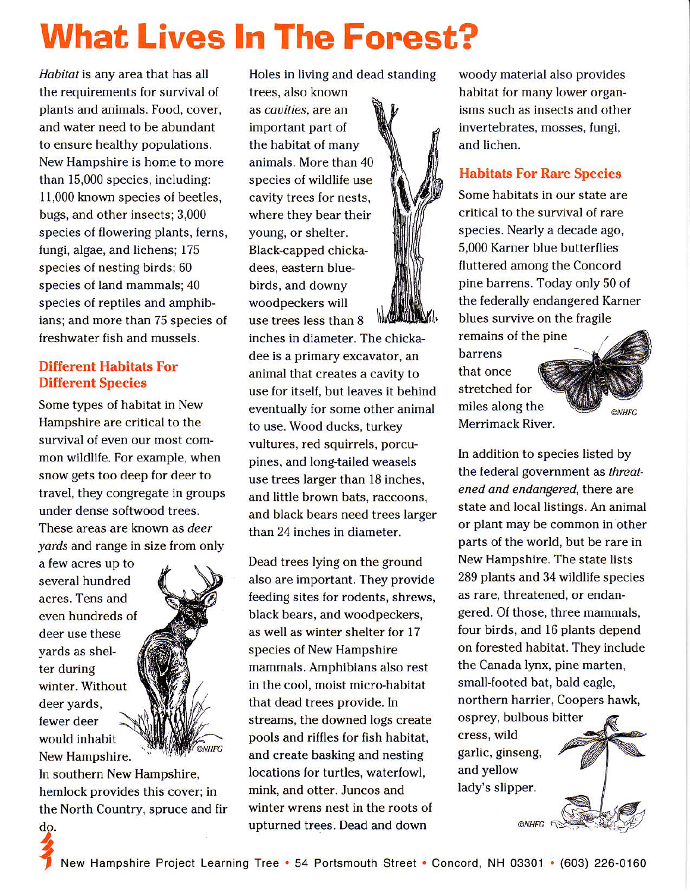# **What Lives In The Forest?**

Habitat is any area that has all the requirements for survival of plants and animals. Food, cover, and water need to be abundant to ensure healthy populations. New Hampshire is home to more than 15,000 species, including: 11,000 known species of beetles, bugs, and other insects; 3,000 species of flowering plants, ferns, fungi, algae, and lichens; 175 species of nesting birds; 60 species of land mammals; 40 species of reptiles and amphibians; and more than 75 species of freshwater fish and mussels.

#### Different Habitats For Different Species

Some types of habitat in New Hampshire are critical to the survival of even our most common wildlife. For example, when snow gets too deep for deer to travel, they congregate in groups under dense softwood trees. These areas are known as deer

yards and range in size from only

New Hampshire. fewer deer would inhabit a few acres up to several hundred acres. Tens and even hundreds of deer use these yards as shelter during winter. Without deer yards,

 $\bf{z}$ 

In southern New Hampshire, hemlock provides this cover; in the North Country, spruce and fir winter wrens nest in the roots of

ONHFG

Holes in living and dead standing

trees, also known as *cavities*, are an important part of the habitat of many animals. More than 40 species of wildlife use cavity trees for nests, where they bear their young, or shelter. Black-capped chickadees, eastern bluebirds, and downy woodpeckers will use trees less than 8

inches in diameter. The chickadee is a primary excavator, an animal that creates a cavity to use for itself, but leaves it behind eventually for some other animal to use. Wood ducks, turkey vultures, red squirrels, porcupines, and long-tailed weasels use trees larger than l8 inches, and little brown bats, raccoons, and black bears need trees larger than 24 inches in diameter.

Dead trees lying on the ground also are important. They provide feeding sites for rodents, shrews, black bears, and woodpeckers, as well as winter shelter for 17 species of New Hampshire mammds. Amphibians also rest in the cool, moist micro-habitat that dead trees provide. In streams, the downed logs create pools and riffles for fish habitat, and create basking and nesting locations for turtles, waterfowl, mink, and otter. Juncos and do. where the upturned trees. Dead and down where  $\epsilon$ 

woody material also provides habitat for many lower organisms such as insects and other invertebrates, mosses, fungi, and lichen.

#### Habitats For Rare Species

Some habitats in our state are critical to the survival of rare species. Nearly a decade ago, 5,000 Karner blue butterllies fluttered among the Concord pine barrens. Today only 50 of the federally endangered Karner blues survive on the fragile remains of the pine barrens that once stretched for miles along the **©NHFG** Merrimack River.

In addition to species listed by the federal government as threatened and endangered, there are state and local listings. An animal or plant may be common in other parts of the world, but be rare in New Hampshire. The state lists 289 plants and 34 wildlife species as rare, threatened, or endangered. Of those, three mammals, four birds, and 16 plants depend on forested habitat. They include the Canada lynx, pine marten, small-footed bat, bald eagle, northern harrier, Coopers hawk,

osprey, bulbous bitter cress, wild garlic, ginseng, and yellow lady's slipper.